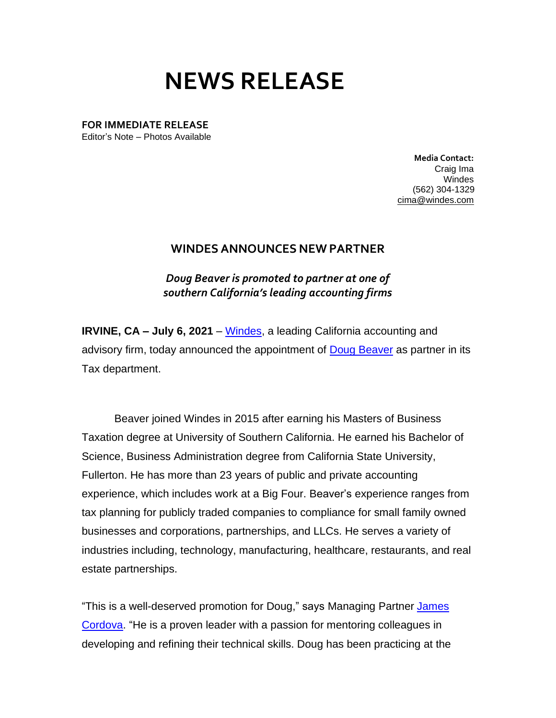## **NEWS RELEASE**

**FOR IMMEDIATE RELEASE**

Editor's Note – Photos Available

**Media Contact:**  Craig Ima Windes (562) 304-1329 [cima@windes.com](mailto:cima@windes.com)

## **WINDES ANNOUNCES NEW PARTNER**

*Doug Beaver is promoted to partner at one of southern California's leading accounting firms*

**IRVINE, CA – July 6, 2021** – [Windes,](https://windes.com/) a leading California accounting and advisory firm, today announced the appointment of [Doug Beaver](https://windes.com/about/windes-leadership/douglas-beaver-cpa-mbt/) as partner in its Tax department.

Beaver joined Windes in 2015 after earning his Masters of Business Taxation degree at University of Southern California. He earned his Bachelor of Science, Business Administration degree from California State University, Fullerton. He has more than 23 years of public and private accounting experience, which includes work at a Big Four. Beaver's experience ranges from tax planning for publicly traded companies to compliance for small family owned businesses and corporations, partnerships, and LLCs. He serves a variety of industries including, technology, manufacturing, healthcare, restaurants, and real estate partnerships.

"This is a well-deserved promotion for Doug," says Managing Partner [James](https://windes.com/about/windes-leadership/james-a-cordova-cpa-mst/)  [Cordova.](https://windes.com/about/windes-leadership/james-a-cordova-cpa-mst/) "He is a proven leader with a passion for mentoring colleagues in developing and refining their technical skills. Doug has been practicing at the